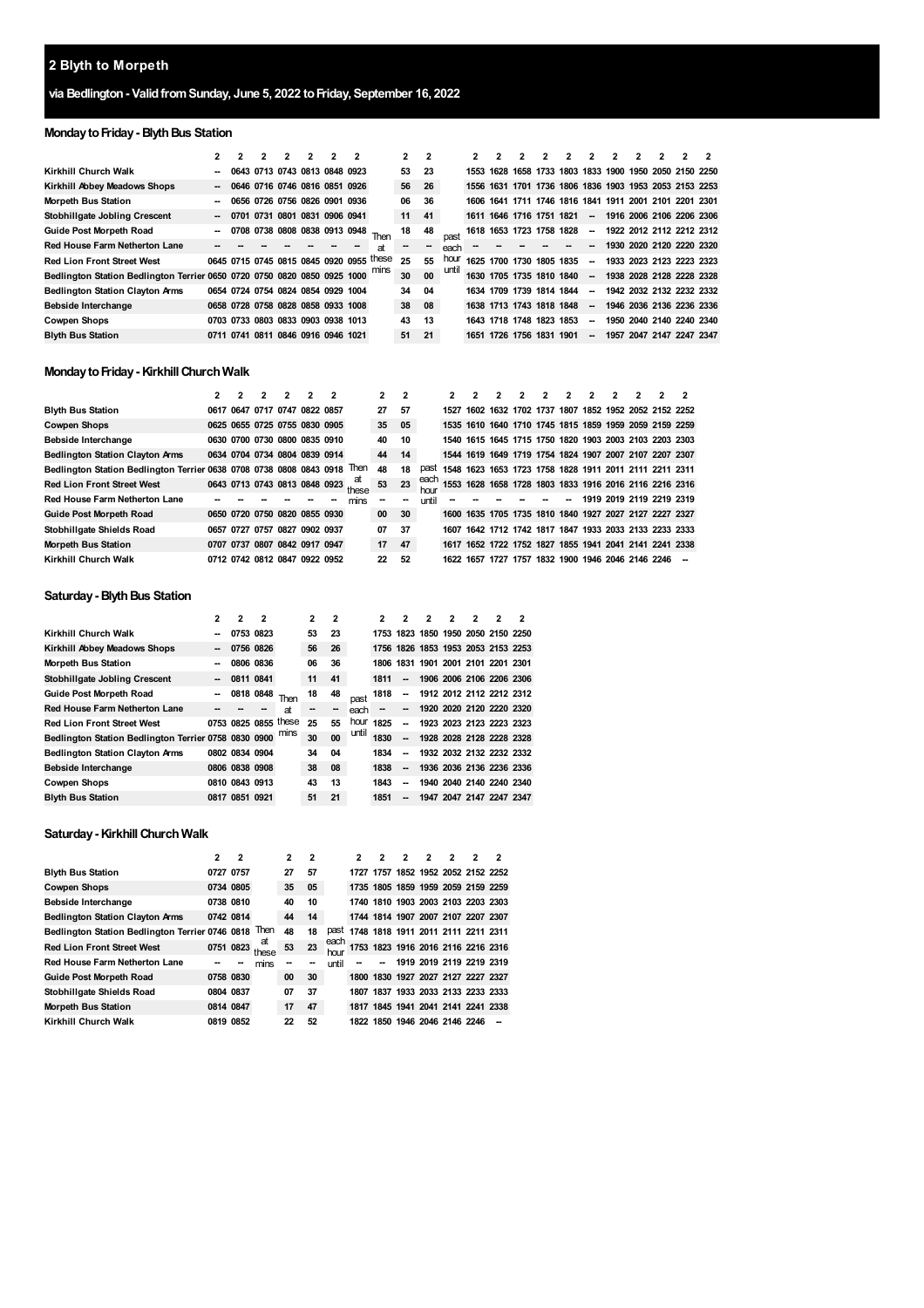# **Blyth to Morpeth**

## **via Bedlington- ValidfromSunday, June 5, 2022 toFriday, September 16, 2022**

## **Monday to Friday - Blyth Bus Station**

|                                                                               |                          |           |                                    | 2 | 2 | 2 |                                          | 2      | $\overline{2}$ |       | 2                        |                          |           | 2 | 2                        | 2 | 2 |                                                        | 2 |
|-------------------------------------------------------------------------------|--------------------------|-----------|------------------------------------|---|---|---|------------------------------------------|--------|----------------|-------|--------------------------|--------------------------|-----------|---|--------------------------|---|---|--------------------------------------------------------|---|
| Kirkhill Church Walk                                                          |                          |           | 0643 0713 0743 0813 0848 0923      |   |   |   |                                          | 53     | 23             |       | 1553                     |                          |           |   |                          |   |   | 1628 1658 1733 1803 1833 1900 1950 2050 2150 2250      |   |
| Kirkhill Abbey Meadows Shops                                                  | $\sim$                   |           | 0646 0716 0746 0816 0851 0926      |   |   |   |                                          | 56     | -26            |       |                          |                          |           |   |                          |   |   | 1556 1631 1701 1736 1806 1836 1903 1953 2053 2153 2253 |   |
| <b>Morpeth Bus Station</b>                                                    |                          |           | 0656 0726 0756 0826 0901 0936      |   |   |   |                                          | 06     | 36             |       |                          |                          |           |   |                          |   |   | 1606 1641 1711 1746 1816 1841 1911 2001 2101 2201 2301 |   |
| Stobhillgate Jobling Crescent                                                 | $\overline{\phantom{a}}$ | 0701      | 0731 0801 0831 0906 0941           |   |   |   |                                          | 11     | 41             |       | 1611 1646 1716 1751 1821 |                          |           |   | $\overline{\phantom{a}}$ |   |   | 1916 2006 2106 2206 2306                               |   |
| <b>Guide Post Morpeth Road</b>                                                |                          |           | 0708 0738 0808 0838 0913 0948      |   |   |   | Then                                     | 18     | 48             |       | 1618                     | 1653 1723 1758 1828      |           |   | $\overline{\phantom{a}}$ |   |   | 1922 2012 2112 2212 2312                               |   |
| <b>Red House Farm Netherton Lane</b>                                          |                          |           |                                    |   |   |   | аt                                       | $\sim$ | $\sim$         | each  |                          |                          |           |   | --                       |   |   | 1930 2020 2120 2220 2320                               |   |
| <b>Red Lion Front Street West</b>                                             |                          |           |                                    |   |   |   | 0645 0715 0745 0815 0845 0920 0955 these | 25     | 55             | hour  | 1625                     | 1700 1730                | 1805 1835 |   | $\sim$                   |   |   | 1933 2023 2123 2223 2323                               |   |
| Bedlington Station Bedlington Terrier 0650 0720 0750 0820 0850 0925 1000 mins |                          |           |                                    |   |   |   |                                          | 30     | 00             | until | 1630 1705 1735 1810 1840 |                          |           |   | $\overline{\phantom{a}}$ |   |   | 1938 2028 2128 2228 2328                               |   |
| <b>Bedlington Station Clayton Arms</b>                                        |                          |           | 0654 0724 0754 0824 0854 0929 1004 |   |   |   |                                          | 34     | 04             |       |                          | 1634 1709 1739 1814 1844 |           |   | $\overline{\phantom{a}}$ |   |   | 1942 2032 2132 2232 2332                               |   |
| Bebside Interchange                                                           |                          |           | 0658 0728 0758 0828 0858 0933 1008 |   |   |   |                                          | 38     | 08             |       | 1638 1713 1743 1818 1848 |                          |           |   | $\overline{\phantom{a}}$ |   |   | 1946 2036 2136 2236 2336                               |   |
| <b>Cowpen Shops</b>                                                           |                          |           | 0703 0733 0803 0833 0903 0938 1013 |   |   |   |                                          | 43     | 13             |       |                          | 1643 1718 1748           | 1823 1853 |   | $\overline{\phantom{a}}$ |   |   | 1950 2040 2140 2240 2340                               |   |
| <b>Blyth Bus Station</b>                                                      |                          | 0711 0741 | 0811 0846 0916 0946 1021           |   |   |   |                                          | 51     | 21             |       |                          | 1651 1726 1756           | 1831 1901 |   | -                        |   |   | 1957 2047 2147 2247 2347                               |   |

## **Monday to Friday - Kirkhill Church Walk**

|                                                                     |  |                               | 2 |           | 2 |             | $\overline{2}$ | $\overline{2}$           |       |      |      |           |  | 2 | 2 |                               |                                                        |                                                        |
|---------------------------------------------------------------------|--|-------------------------------|---|-----------|---|-------------|----------------|--------------------------|-------|------|------|-----------|--|---|---|-------------------------------|--------------------------------------------------------|--------------------------------------------------------|
| <b>Blyth Bus Station</b>                                            |  | 0617 0647 0717 0747 0822 0857 |   |           |   |             | 27             | 57                       |       | 1527 |      |           |  |   |   |                               | 1602 1632 1702 1737 1807 1852 1952 2052 2152 2252      |                                                        |
| Cowpen Shops                                                        |  | 0625 0655 0725 0755 0830 0905 |   |           |   |             | 35             | 05                       |       |      |      |           |  |   |   |                               | 1535 1610 1640 1710 1745 1815 1859 1959 2059 2159 2259 |                                                        |
| Bebside Interchange                                                 |  | 0630 0700 0730 0800 0835 0910 |   |           |   |             | 40             | 10                       |       |      |      |           |  |   |   |                               | 1540 1615 1645 1715 1750 1820 1903 2003 2103 2203 2303 |                                                        |
| <b>Bedlington Station Clayton Arms</b>                              |  | 0634 0704 0734 0804 0839 0914 |   |           |   |             | 44             | 14                       |       |      |      |           |  |   |   |                               | 1544 1619 1649 1719 1754 1824 1907 2007 2107 2207 2307 |                                                        |
| Bedlington Station Bedlington Terrier 0638 0708 0738 0808 0843 0918 |  |                               |   |           |   | <b>Then</b> | 48             | 18                       | past  |      |      |           |  |   |   |                               | 1548 1623 1653 1723 1758 1828 1911 2011 2111 2211 2311 |                                                        |
| <b>Red Lion Front Street West</b>                                   |  | 0643 0713 0743 0813 0848 0923 |   |           |   | at<br>these | 53             | 23                       | each  |      |      |           |  |   |   |                               |                                                        | 1553 1628 1658 1728 1803 1833 1916 2016 2116 2216 2316 |
| Red House Farm Netherton Lane                                       |  |                               |   |           |   | mins        |                | $\overline{\phantom{a}}$ | until |      |      |           |  |   |   |                               | 1919 2019 2119 2219 2319                               |                                                        |
| Guide Post Morpeth Road                                             |  | 0650 0720 0750 0820 0855 0930 |   |           |   |             | 00             | 30                       |       | 1600 |      |           |  |   |   |                               | 1635 1705 1735 1810 1840 1927 2027 2127 2227 2327      |                                                        |
| Stobhillgate Shields Road                                           |  | 0657 0727 0757 0827 0902 0937 |   |           |   |             | 07             | 37                       |       | 1607 |      |           |  |   |   |                               | 1642 1712 1742 1817 1847 1933 2033 2133 2233 2333      |                                                        |
| Morpeth Bus Station                                                 |  | 0707 0737 0807 0842 0917 0947 |   |           |   |             | 17             | 47                       |       |      |      |           |  |   |   |                               | 1617 1652 1722 1752 1827 1855 1941 2041 2141 2241 2338 |                                                        |
| Kirkhill Church Walk                                                |  | 0712 0742 0812 0847           |   | 0922 0952 |   |             | 22             | 52                       |       | 1622 | 1657 | 1727 1757 |  |   |   | 1832 1900 1946 2046 2146 2246 |                                                        |                                                        |

## **Saturday - Blyth Bus Station**

|                                                           | 2  | 2              | 2         |                      | $\overline{2}$ | 2      |       | 2    | 2                        | 2                                  | 2                        | 2 | 2 | 2                        |
|-----------------------------------------------------------|----|----------------|-----------|----------------------|----------------|--------|-------|------|--------------------------|------------------------------------|--------------------------|---|---|--------------------------|
| Kirkhill Church Walk                                      |    | 0753 0823      |           |                      | 53             | 23     |       |      |                          | 1753 1823 1850 1950 2050 2150 2250 |                          |   |   |                          |
| Kirkhill Abbey Meadows Shops                              | -- |                | 0756 0826 |                      | 56             | 26     |       |      |                          | 1756 1826 1853 1953 2053 2153 2253 |                          |   |   |                          |
| <b>Morpeth Bus Station</b>                                |    |                | 0806 0836 |                      | 06             | 36     |       |      |                          | 1806 1831 1901 2001 2101 2201 2301 |                          |   |   |                          |
| Stobhillgate Jobling Crescent                             |    |                | 0811 0841 |                      | 11             | 41     |       | 1811 | $\sim$                   | 1906 2006 2106 2206 2306           |                          |   |   |                          |
| <b>Guide Post Morpeth Road</b>                            |    |                | 0818 0848 | Then                 | 18             | 48     | past  | 1818 | --                       |                                    |                          |   |   | 1912 2012 2112 2212 2312 |
| <b>Red House Farm Netherton Lane</b>                      |    |                |           | at                   |                | $\sim$ | each  | --   | -                        | 1920 2020 2120 2220 2320           |                          |   |   |                          |
| <b>Red Lion Front Street West</b>                         |    |                |           | 0753 0825 0855 these | 25             | 55     | hour  | 1825 | --                       |                                    | 1923 2023 2123 2223 2323 |   |   |                          |
| Bedlington Station Bedlington Terrier 0758 0830 0900 mins |    |                |           |                      | 30             | 00     | until | 1830 | --                       |                                    | 1928 2028 2128 2228 2328 |   |   |                          |
| <b>Bedlington Station Clayton Arms</b>                    |    | 0802 0834 0904 |           |                      | 34             | 04     |       | 1834 | --                       |                                    | 1932 2032 2132 2232 2332 |   |   |                          |
| Bebside Interchange                                       |    | 0806 0838 0908 |           |                      | 38             | 08     |       | 1838 | $\overline{\phantom{a}}$ |                                    | 1936 2036 2136 2236 2336 |   |   |                          |
| <b>Cowpen Shops</b>                                       |    | 0810 0843 0913 |           |                      | 43             | 13     |       | 1843 | --                       |                                    | 1940 2040 2140 2240 2340 |   |   |                          |
| <b>Blyth Bus Station</b>                                  |    | 0817 0851 0921 |           |                      | 51             | 21     |       | 1851 | $\overline{\phantom{a}}$ |                                    | 1947 2047 2147 2247 2347 |   |   |                          |

#### **Saturday- KirkhillChurchWalk**

|                                                 | 2         | 2 |             | $\mathbf{2}$ | 2  |              | 2                                  | 2 | 2                        | 2 | 2 | 2 |
|-------------------------------------------------|-----------|---|-------------|--------------|----|--------------|------------------------------------|---|--------------------------|---|---|---|
| <b>Blyth Bus Station</b>                        | 0727 0757 |   |             | 27           | 57 |              | 1727 1757 1852 1952 2052 2152 2252 |   |                          |   |   |   |
| <b>Cowpen Shops</b>                             | 0734 0805 |   |             | 35           | 05 |              | 1735 1805 1859 1959 2059 2159 2259 |   |                          |   |   |   |
| Bebside Interchange                             | 0738 0810 |   |             | 40           | 10 |              | 1740 1810 1903 2003 2103 2203 2303 |   |                          |   |   |   |
| <b>Bedlington Station Clayton Arms</b>          | 0742 0814 |   |             | 44           | 14 |              | 1744 1814 1907 2007 2107 2207 2307 |   |                          |   |   |   |
| Bedlington Station Bedlington Terrier 0746 0818 |           |   | Then        | 48           | 18 | past         | 1748 1818 1911 2011 2111 2211 2311 |   |                          |   |   |   |
| <b>Red Lion Front Street West</b>               | 0751 0823 |   | at<br>these | 53           | 23 | each<br>hour | 1753 1823 1916 2016 2116 2216 2316 |   |                          |   |   |   |
| <b>Red House Farm Netherton Lane</b>            |           |   | mins        |              | -- | until        |                                    |   | 1919 2019 2119 2219 2319 |   |   |   |
| <b>Guide Post Morpeth Road</b>                  | 0758 0830 |   |             | 00           | 30 |              | 1800 1830 1927 2027 2127 2227 2327 |   |                          |   |   |   |
| Stobhillgate Shields Road                       | 0804 0837 |   |             | 07           | 37 |              | 1807 1837 1933 2033 2133 2233 2333 |   |                          |   |   |   |
| <b>Morpeth Bus Station</b>                      | 0814 0847 |   |             | 17           | 47 |              | 1817 1845 1941 2041 2141 2241 2338 |   |                          |   |   |   |
| Kirkhill Church Walk                            | 0819 0852 |   |             | 22           | 52 |              | 1822 1850 1946 2046 2146 2246      |   |                          |   |   |   |